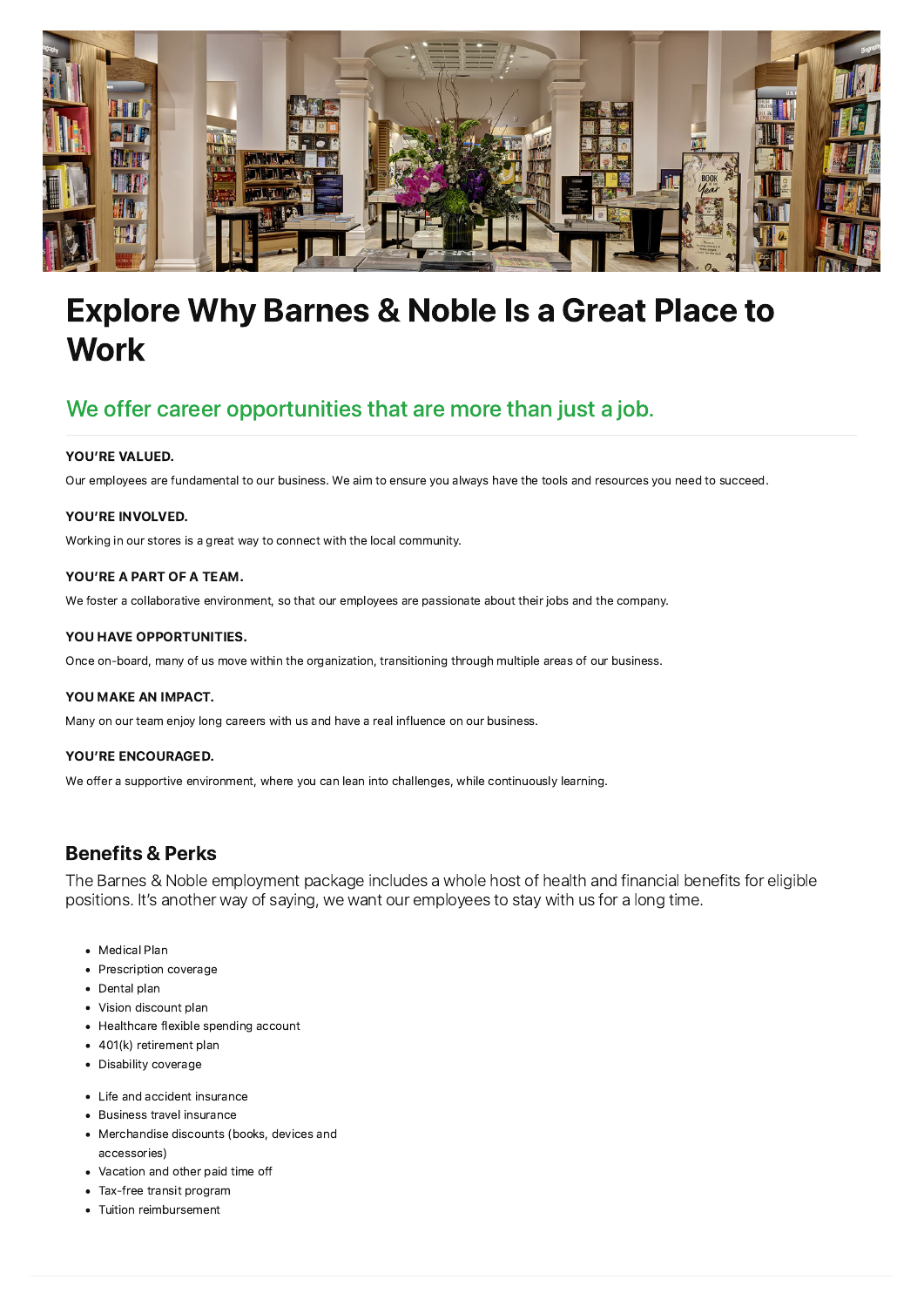

# Explore Why Barnes & Noble Is a Great Place to **Work**

## We offer career opportunities that are more than just a job.

#### YOU'RE VALUED.

Our employees are fundamental to our business. We aim to ensure you always have the tools and resources you need to succeed.

#### YOU'RE INVOLVED.

Working in our stores is a great way to connect with the local community.

#### YOU'RE A PART OF A TEAM.

We foster a collaborative environment, so that our employees are passionate about their jobs and the company.

#### YOU HAVE OPPORTUNITIES.

Once on-board, many of us move within the organization, transitioning through multiple areas of our business.

#### YOU MAKE AN IMPACT.

Many on our team enjoy long careers with us and have a real influence on our business.

#### YOU'RE ENCOURAGED.

We offer a supportive environment, where you can lean into challenges, while continuously learning.

### Benefits & Perks

The Barnes & Noble employment package includes a whole host of health and financial benefits for eligible positions. It's another way of saying, we want our employees to stay with us for a long time.

- Medical Plan
- Prescription coverage
- Dental plan
- Vision discount plan
- Healthcare flexible spending account
- 401(k) retirement plan
- Disability coverage
- Life and accident insurance
- Business travel insurance
- Merchandise discounts (books, devices and accessories)
- Vacation and other paid time off
- Tax-free transit program
- Tuition reimbursement